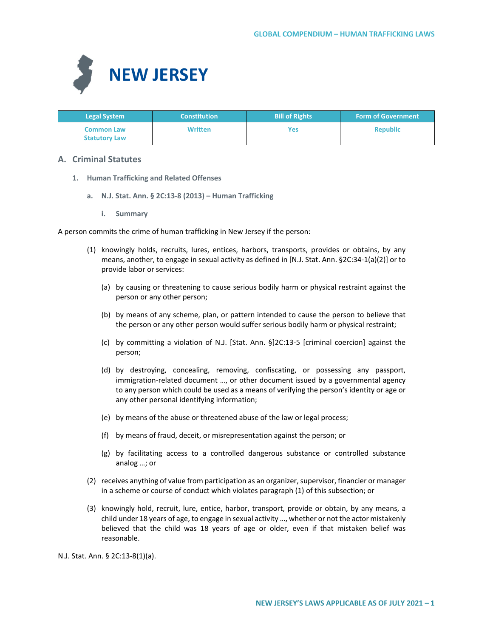

| <b>Legal System</b>                       | <b>Constitution</b> | <b>Bill of Rights</b> | <b>Form of Government</b> |
|-------------------------------------------|---------------------|-----------------------|---------------------------|
| <b>Common Law</b><br><b>Statutory Law</b> | <b>Written</b>      | Yes                   | <b>Republic</b>           |

# **A. Criminal Statutes**

- **1. Human Trafficking and Related Offenses** 
	- **a. N.J. Stat. Ann. § 2C:13-8 (2013) – Human Trafficking**
		- **i. Summary**

A person commits the crime of human trafficking in New Jersey if the person:

- (1) knowingly holds, recruits, lures, entices, harbors, transports, provides or obtains, by any means, another, to engage in sexual activity as defined in [N.J. Stat. Ann. §2C:34-1(a)(2)] or to provide labor or services:
	- (a) by causing or threatening to cause serious bodily harm or physical restraint against the person or any other person;
	- (b) by means of any scheme, plan, or pattern intended to cause the person to believe that the person or any other person would suffer serious bodily harm or physical restraint;
	- (c) by committing a violation of N.J. [Stat. Ann. §]2C:13-5 [criminal coercion] against the person;
	- (d) by destroying, concealing, removing, confiscating, or possessing any passport, immigration-related document …, or other document issued by a governmental agency to any person which could be used as a means of verifying the person's identity or age or any other personal identifying information;
	- (e) by means of the abuse or threatened abuse of the law or legal process;
	- (f) by means of fraud, deceit, or misrepresentation against the person; or
	- (g) by facilitating access to a controlled dangerous substance or controlled substance analog …; or
- (2) receives anything of value from participation as an organizer, supervisor, financier or manager in a scheme or course of conduct which violates paragraph (1) of this subsection; or
- (3) knowingly hold, recruit, lure, entice, harbor, transport, provide or obtain, by any means, a child under 18 years of age, to engage in sexual activity …, whether or not the actor mistakenly believed that the child was 18 years of age or older, even if that mistaken belief was reasonable.

N.J. Stat. Ann. § 2C:13-8(1)(a).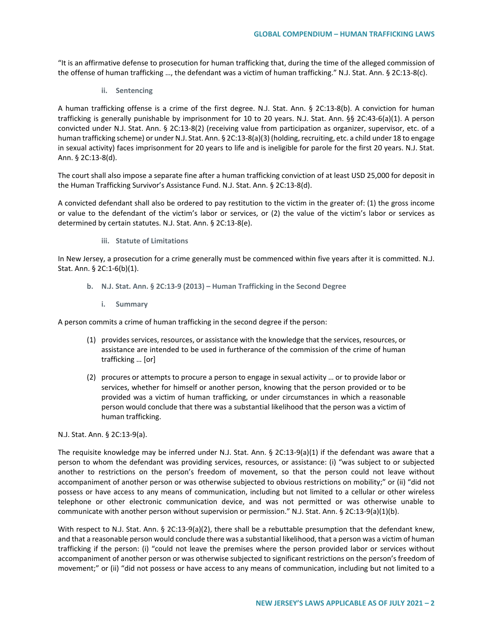"It is an affirmative defense to prosecution for human trafficking that, during the time of the alleged commission of the offense of human trafficking …, the defendant was a victim of human trafficking." N.J. Stat. Ann. § 2C:13-8(c).

**ii. Sentencing**

A human trafficking offense is a crime of the first degree. N.J. Stat. Ann. § 2C:13-8(b). A conviction for human trafficking is generally punishable by imprisonment for 10 to 20 years. N.J. Stat. Ann. §§ 2C:43-6(a)(1). A person convicted under N.J. Stat. Ann. § 2C:13-8(2) (receiving value from participation as organizer, supervisor, etc. of a human trafficking scheme) or under N.J. Stat. Ann. § 2C:13-8(a)(3) (holding, recruiting, etc. a child under 18 to engage in sexual activity) faces imprisonment for 20 years to life and is ineligible for parole for the first 20 years. N.J. Stat. Ann. § 2C:13-8(d).

The court shall also impose a separate fine after a human trafficking conviction of at least USD 25,000 for deposit in the Human Trafficking Survivor's Assistance Fund. N.J. Stat. Ann. § 2C:13-8(d).

A convicted defendant shall also be ordered to pay restitution to the victim in the greater of: (1) the gross income or value to the defendant of the victim's labor or services, or (2) the value of the victim's labor or services as determined by certain statutes. N.J. Stat. Ann. § 2C:13-8(e).

**iii. Statute of Limitations**

In New Jersey, a prosecution for a crime generally must be commenced within five years after it is committed. N.J. Stat. Ann. § 2C:1-6(b)(1).

- **b. N.J. Stat. Ann. § 2C:13-9 (2013) – Human Trafficking in the Second Degree**
	- **i. Summary**

A person commits a crime of human trafficking in the second degree if the person:

- (1) provides services, resources, or assistance with the knowledge that the services, resources, or assistance are intended to be used in furtherance of the commission of the crime of human trafficking … [or]
- (2) procures or attempts to procure a person to engage in sexual activity … or to provide labor or services, whether for himself or another person, knowing that the person provided or to be provided was a victim of human trafficking, or under circumstances in which a reasonable person would conclude that there was a substantial likelihood that the person was a victim of human trafficking.

# N.J. Stat. Ann. § 2C:13-9(a).

The requisite knowledge may be inferred under N.J. Stat. Ann. § 2C:13-9(a)(1) if the defendant was aware that a person to whom the defendant was providing services, resources, or assistance: (i) "was subject to or subjected another to restrictions on the person's freedom of movement, so that the person could not leave without accompaniment of another person or was otherwise subjected to obvious restrictions on mobility;" or (ii) "did not possess or have access to any means of communication, including but not limited to a cellular or other wireless telephone or other electronic communication device, and was not permitted or was otherwise unable to communicate with another person without supervision or permission." N.J. Stat. Ann. § 2C:13-9(a)(1)(b).

With respect to N.J. Stat. Ann. § 2C:13-9(a)(2), there shall be a rebuttable presumption that the defendant knew, and that a reasonable person would conclude there was a substantial likelihood, that a person was a victim of human trafficking if the person: (i) "could not leave the premises where the person provided labor or services without accompaniment of another person or was otherwise subjected to significant restrictions on the person's freedom of movement;" or (ii) "did not possess or have access to any means of communication, including but not limited to a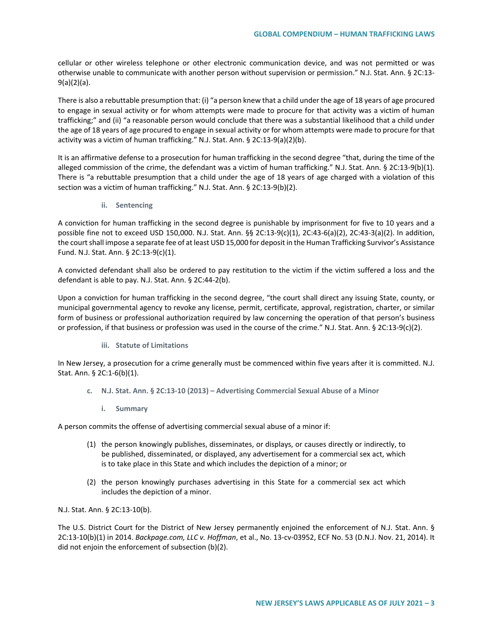cellular or other wireless telephone or other electronic communication device, and was not permitted or was otherwise unable to communicate with another person without supervision or permission." N.J. Stat. Ann. § 2C:13- 9(a)(2)(a).

There is also a rebuttable presumption that: (i) "a person knew that a child under the age of 18 years of age procured to engage in sexual activity or for whom attempts were made to procure for that activity was a victim of human trafficking;" and (ii) "a reasonable person would conclude that there was a substantial likelihood that a child under the age of 18 years of age procured to engage in sexual activity or for whom attempts were made to procure for that activity was a victim of human trafficking." N.J. Stat. Ann. § 2C:13-9(a)(2)(b).

It is an affirmative defense to a prosecution for human trafficking in the second degree "that, during the time of the alleged commission of the crime, the defendant was a victim of human trafficking." N.J. Stat. Ann. § 2C:13-9(b)(1). There is "a rebuttable presumption that a child under the age of 18 years of age charged with a violation of this section was a victim of human trafficking." N.J. Stat. Ann. § 2C:13-9(b)(2).

**ii. Sentencing**

A conviction for human trafficking in the second degree is punishable by imprisonment for five to 10 years and a possible fine not to exceed USD 150,000. N.J. Stat. Ann. §§ 2C:13-9(c)(1), 2C:43-6(a)(2), 2C:43-3(a)(2). In addition, the court shall impose a separate fee of at least USD 15,000 for deposit in the Human Trafficking Survivor's Assistance Fund. N.J. Stat. Ann. § 2C:13-9(c)(1).

A convicted defendant shall also be ordered to pay restitution to the victim if the victim suffered a loss and the defendant is able to pay. N.J. Stat. Ann. § 2C:44-2(b).

Upon a conviction for human trafficking in the second degree, "the court shall direct any issuing State, county, or municipal governmental agency to revoke any license, permit, certificate, approval, registration, charter, or similar form of business or professional authorization required by law concerning the operation of that person's business or profession, if that business or profession was used in the course of the crime." N.J. Stat. Ann. § 2C:13-9(c)(2).

**iii. Statute of Limitations**

In New Jersey, a prosecution for a crime generally must be commenced within five years after it is committed. N.J. Stat. Ann. § 2C:1-6(b)(1).

- **c. N.J. Stat. Ann. § 2C:13-10 (2013) – Advertising Commercial Sexual Abuse of a Minor**
	- **i. Summary**

A person commits the offense of advertising commercial sexual abuse of a minor if:

- (1) the person knowingly publishes, disseminates, or displays, or causes directly or indirectly, to be published, disseminated, or displayed, any advertisement for a commercial sex act, which is to take place in this State and which includes the depiction of a minor; or
- (2) the person knowingly purchases advertising in this State for a commercial sex act which includes the depiction of a minor.

N.J. Stat. Ann. § 2C:13-10(b).

The U.S. District Court for the District of New Jersey permanently enjoined the enforcement of N.J. Stat. Ann. § 2C:13-10(b)(1) in 2014. *Backpage.com, LLC v. Hoffman*, et al., No. 13-cv-03952, ECF No. 53 (D.N.J. Nov. 21, 2014). It did not enjoin the enforcement of subsection (b)(2).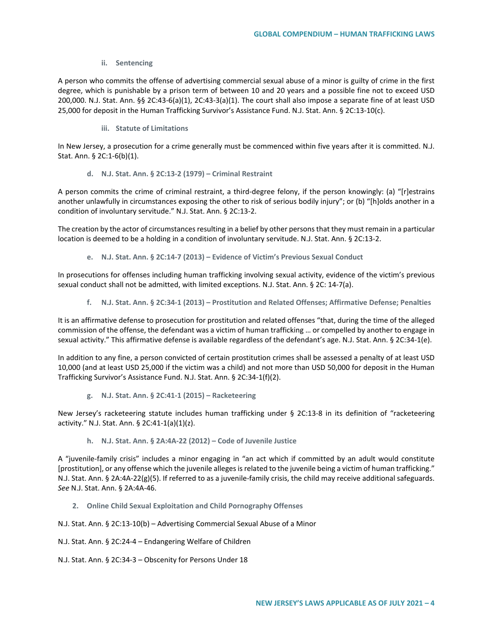### **ii. Sentencing**

A person who commits the offense of advertising commercial sexual abuse of a minor is guilty of crime in the first degree, which is punishable by a prison term of between 10 and 20 years and a possible fine not to exceed USD 200,000. N.J. Stat. Ann. §§ 2C:43-6(a)(1), 2C:43-3(a)(1). The court shall also impose a separate fine of at least USD 25,000 for deposit in the Human Trafficking Survivor's Assistance Fund. N.J. Stat. Ann. § 2C:13-10(c).

**iii. Statute of Limitations**

In New Jersey, a prosecution for a crime generally must be commenced within five years after it is committed. N.J. Stat. Ann. § 2C:1-6(b)(1).

**d. N.J. Stat. Ann. § 2C:13-2 (1979) – Criminal Restraint**

A person commits the crime of criminal restraint, a third-degree felony, if the person knowingly: (a) "[r]estrains another unlawfully in circumstances exposing the other to risk of serious bodily injury"; or (b) "[h]olds another in a condition of involuntary servitude." N.J. Stat. Ann. § 2C:13-2.

The creation by the actor of circumstances resulting in a belief by other persons that they must remain in a particular location is deemed to be a holding in a condition of involuntary servitude. N.J. Stat. Ann. § 2C:13-2.

**e. N.J. Stat. Ann. § 2C:14-7 (2013) – Evidence of Victim's Previous Sexual Conduct**

In prosecutions for offenses including human trafficking involving sexual activity, evidence of the victim's previous sexual conduct shall not be admitted, with limited exceptions. N.J. Stat. Ann. § 2C: 14-7(a).

**f. N.J. Stat. Ann. § 2C:34-1 (2013) – Prostitution and Related Offenses; Affirmative Defense; Penalties**

It is an affirmative defense to prosecution for prostitution and related offenses "that, during the time of the alleged commission of the offense, the defendant was a victim of human trafficking … or compelled by another to engage in sexual activity." This affirmative defense is available regardless of the defendant's age. N.J. Stat. Ann. § 2C:34-1(e).

In addition to any fine, a person convicted of certain prostitution crimes shall be assessed a penalty of at least USD 10,000 (and at least USD 25,000 if the victim was a child) and not more than USD 50,000 for deposit in the Human Trafficking Survivor's Assistance Fund. N.J. Stat. Ann. § 2C:34-1(f)(2).

**g. N.J. Stat. Ann. § 2C:41-1 (2015) – Racketeering** 

New Jersey's racketeering statute includes human trafficking under § 2C:13-8 in its definition of "racketeering activity." N.J. Stat. Ann. § 2C:41-1(a)(1)(z).

**h. N.J. Stat. Ann. § 2A:4A-22 (2012) – Code of Juvenile Justice**

A "juvenile-family crisis" includes a minor engaging in "an act which if committed by an adult would constitute [prostitution], or any offense which the juvenile alleges is related to the juvenile being a victim of human trafficking." N.J. Stat. Ann. § 2A:4A-22( $g$ )(5). If referred to as a juvenile-family crisis, the child may receive additional safeguards. *See* N.J. Stat. Ann. § 2A:4A-46.

**2. Online Child Sexual Exploitation and Child Pornography Offenses**

N.J. Stat. Ann. § 2C:13-10(b) – Advertising Commercial Sexual Abuse of a Minor

N.J. Stat. Ann. § 2C:24-4 – Endangering Welfare of Children

N.J. Stat. Ann. § 2C:34-3 – Obscenity for Persons Under 18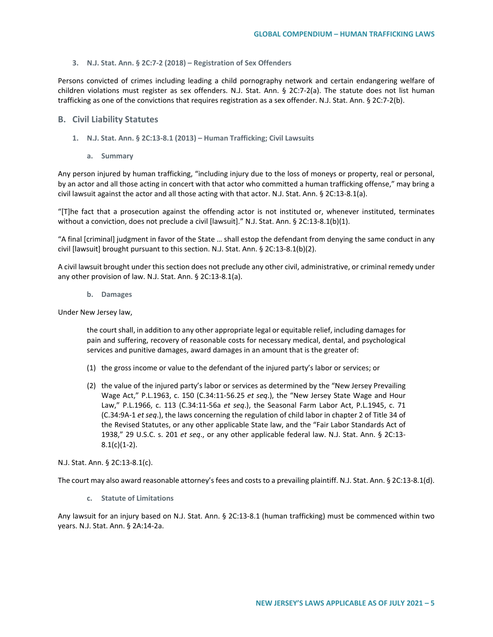### **3. N.J. Stat. Ann. § 2C:7-2 (2018) – Registration of Sex Offenders**

Persons convicted of crimes including leading a child pornography network and certain endangering welfare of children violations must register as sex offenders. N.J. Stat. Ann. § 2C:7-2(a). The statute does not list human trafficking as one of the convictions that requires registration as a sex offender. N.J. Stat. Ann. § 2C:7-2(b).

### **B. Civil Liability Statutes**

- **1. N.J. Stat. Ann. § 2C:13-8.1 (2013) – Human Trafficking; Civil Lawsuits**
	- **a. Summary**

Any person injured by human trafficking, "including injury due to the loss of moneys or property, real or personal, by an actor and all those acting in concert with that actor who committed a human trafficking offense," may bring a civil lawsuit against the actor and all those acting with that actor. N.J. Stat. Ann. § 2C:13-8.1(a).

"[T]he fact that a prosecution against the offending actor is not instituted or, whenever instituted, terminates without a conviction, does not preclude a civil [lawsuit]." N.J. Stat. Ann. § 2C:13-8.1(b)(1).

"A final [criminal] judgment in favor of the State … shall estop the defendant from denying the same conduct in any civil [lawsuit] brought pursuant to this section. N.J. Stat. Ann. § 2C:13-8.1(b)(2).

A civil lawsuit brought under this section does not preclude any other civil, administrative, or criminal remedy under any other provision of law. N.J. Stat. Ann. § 2C:13-8.1(a).

**b. Damages**

Under New Jersey law,

the court shall, in addition to any other appropriate legal or equitable relief, including damages for pain and suffering, recovery of reasonable costs for necessary medical, dental, and psychological services and punitive damages, award damages in an amount that is the greater of:

- (1) the gross income or value to the defendant of the injured party's labor or services; or
- (2) the value of the injured party's labor or services as determined by the "New Jersey Prevailing Wage Act," P.L.1963, c. 150 (C.34:11-56.25 *et seq*.), the "New Jersey State Wage and Hour Law," P.L.1966, c. 113 (C.34:11-56a *et seq*.), the Seasonal Farm Labor Act, P.L.1945, c. 71 (C.34:9A-1 *et seq*.), the laws concerning the regulation of child labor in chapter 2 of Title 34 of the Revised Statutes, or any other applicable State law, and the "Fair Labor Standards Act of 1938," 29 U.S.C. s. 201 *et seq*., or any other applicable federal law. N.J. Stat. Ann. § 2C:13-  $8.1(c)(1-2)$ .

### N.J. Stat. Ann. § 2C:13-8.1(c).

The court may also award reasonable attorney's fees and costs to a prevailing plaintiff. N.J. Stat. Ann. § 2C:13-8.1(d).

**c. Statute of Limitations**

Any lawsuit for an injury based on N.J. Stat. Ann. § 2C:13-8.1 (human trafficking) must be commenced within two years. N.J. Stat. Ann. § 2A:14-2a.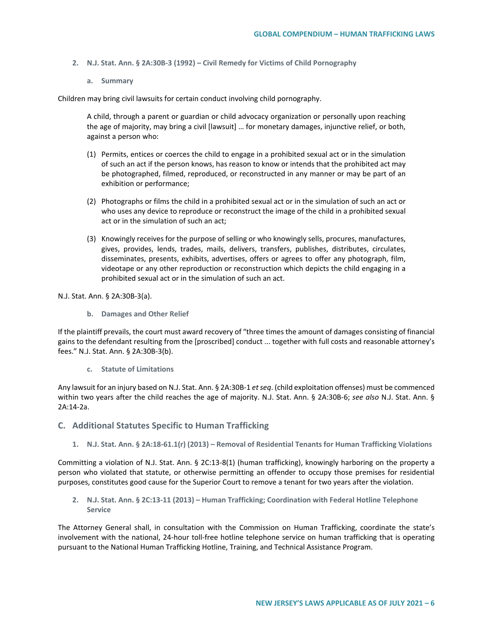- **2. N.J. Stat. Ann. § 2A:30B-3 (1992) – Civil Remedy for Victims of Child Pornography**
	- **a. Summary**

Children may bring civil lawsuits for certain conduct involving child pornography.

A child, through a parent or guardian or child advocacy organization or personally upon reaching the age of majority, may bring a civil [lawsuit] … for monetary damages, injunctive relief, or both, against a person who:

- (1) Permits, entices or coerces the child to engage in a prohibited sexual act or in the simulation of such an act if the person knows, has reason to know or intends that the prohibited act may be photographed, filmed, reproduced, or reconstructed in any manner or may be part of an exhibition or performance;
- (2) Photographs or films the child in a prohibited sexual act or in the simulation of such an act or who uses any device to reproduce or reconstruct the image of the child in a prohibited sexual act or in the simulation of such an act;
- (3) Knowingly receives for the purpose of selling or who knowingly sells, procures, manufactures, gives, provides, lends, trades, mails, delivers, transfers, publishes, distributes, circulates, disseminates, presents, exhibits, advertises, offers or agrees to offer any photograph, film, videotape or any other reproduction or reconstruction which depicts the child engaging in a prohibited sexual act or in the simulation of such an act.

N.J. Stat. Ann. § 2A:30B-3(a).

**b. Damages and Other Relief**

If the plaintiff prevails, the court must award recovery of "three times the amount of damages consisting of financial gains to the defendant resulting from the [proscribed] conduct ... together with full costs and reasonable attorney's fees." N.J. Stat. Ann. § 2A:30B-3(b).

**c. Statute of Limitations**

Any lawsuit for an injury based on N.J. Stat. Ann. § 2A:30B-1 *et seq*. (child exploitation offenses) must be commenced within two years after the child reaches the age of majority. N.J. Stat. Ann. § 2A:30B-6; *see also* N.J. Stat. Ann. § 2A:14-2a.

- **C. Additional Statutes Specific to Human Trafficking**
	- **1. N.J. Stat. Ann. § 2A:18-61.1(r) (2013) – Removal of Residential Tenants for Human Trafficking Violations**

Committing a violation of N.J. Stat. Ann. § 2C:13-8(1) (human trafficking), knowingly harboring on the property a person who violated that statute, or otherwise permitting an offender to occupy those premises for residential purposes, constitutes good cause for the Superior Court to remove a tenant for two years after the violation.

**2. N.J. Stat. Ann. § 2C:13-11 (2013) – Human Trafficking; Coordination with Federal Hotline Telephone Service**

The Attorney General shall, in consultation with the Commission on Human Trafficking, coordinate the state's involvement with the national, 24-hour toll-free hotline telephone service on human trafficking that is operating pursuant to the National Human Trafficking Hotline, Training, and Technical Assistance Program.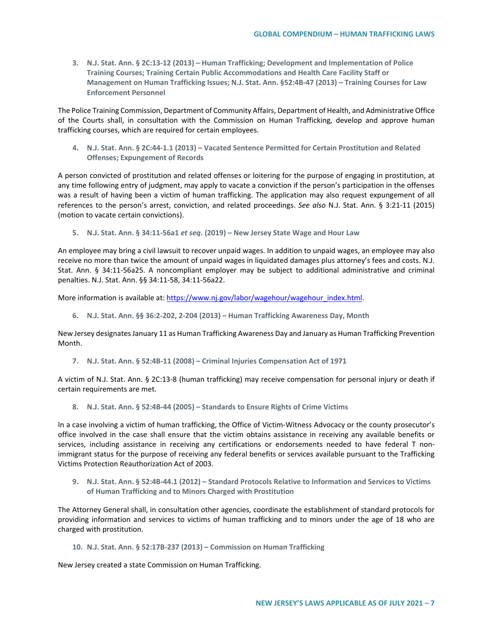**3. N.J. Stat. Ann. § 2C:13-12 (2013) – Human Trafficking; Development and Implementation of Police Training Courses; Training Certain Public Accommodations and Health Care Facility Staff or Management on Human Trafficking Issues; N.J. Stat. Ann. §52:4B-47 (2013) – Training Courses for Law Enforcement Personnel**

The Police Training Commission, Department of Community Affairs, Department of Health, and Administrative Office of the Courts shall, in consultation with the Commission on Human Trafficking, develop and approve human trafficking courses, which are required for certain employees.

**4. N.J. Stat. Ann. § 2C:44-1.1 (2013) – Vacated Sentence Permitted for Certain Prostitution and Related Offenses; Expungement of Records**

A person convicted of prostitution and related offenses or loitering for the purpose of engaging in prostitution, at any time following entry of judgment, may apply to vacate a conviction if the person's participation in the offenses was a result of having been a victim of human trafficking. The application may also request expungement of all references to the person's arrest, conviction, and related proceedings. *See also* N.J. Stat. Ann. § 3:21-11 (2015) (motion to vacate certain convictions).

**5. N.J. Stat. Ann. § 34:11-56a1** *et seq***. (2019) – New Jersey State Wage and Hour Law**

An employee may bring a civil lawsuit to recover unpaid wages. In addition to unpaid wages, an employee may also receive no more than twice the amount of unpaid wages in liquidated damages plus attorney's fees and costs. N.J. Stat. Ann. § 34:11-56a25. A noncompliant employer may be subject to additional administrative and criminal penalties. N.J. Stat. Ann. §§ 34:11-58, 34:11-56a22.

More information is available at: [https://www.nj.gov/labor/wagehour/wagehour\\_index.html.](https://www.nj.gov/labor/wagehour/wagehour_index.html)

**6. N.J. Stat. Ann. §§ 36:2-202, 2-204 (2013) – Human Trafficking Awareness Day, Month**

New Jersey designates January 11 as Human Trafficking Awareness Day and January as Human Trafficking Prevention Month.

**7. N.J. Stat. Ann. § 52:4B-11 (2008) – Criminal Injuries Compensation Act of 1971**

A victim of N.J. Stat. Ann. § 2C:13-8 (human trafficking) may receive compensation for personal injury or death if certain requirements are met.

**8. N.J. Stat. Ann. § 52:4B-44 (2005) – Standards to Ensure Rights of Crime Victims**

In a case involving a victim of human trafficking, the Office of Victim-Witness Advocacy or the county prosecutor's office involved in the case shall ensure that the victim obtains assistance in receiving any available benefits or services, including assistance in receiving any certifications or endorsements needed to have federal T nonimmigrant status for the purpose of receiving any federal benefits or services available pursuant to the Trafficking Victims Protection Reauthorization Act of 2003.

**9. N.J. Stat. Ann. § 52:4B-44.1 (2012) – Standard Protocols Relative to Information and Services to Victims of Human Trafficking and to Minors Charged with Prostitution**

The Attorney General shall, in consultation other agencies, coordinate the establishment of standard protocols for providing information and services to victims of human trafficking and to minors under the age of 18 who are charged with prostitution.

**10. N.J. Stat. Ann. § 52:17B-237 (2013) – Commission on Human Trafficking**

New Jersey created a state Commission on Human Trafficking.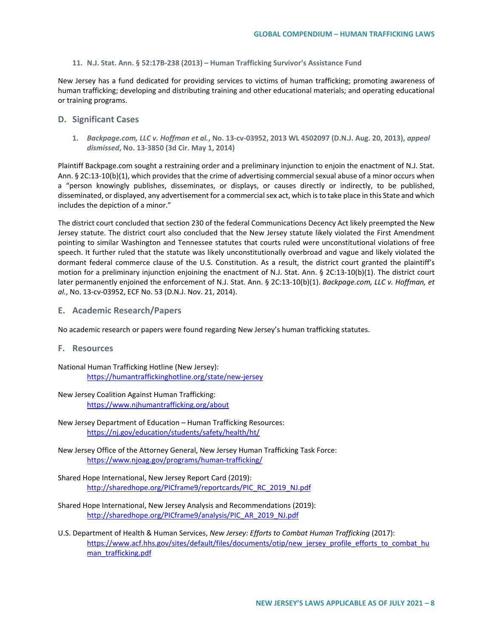### **11. N.J. Stat. Ann. § 52:17B-238 (2013) – Human Trafficking Survivor's Assistance Fund**

New Jersey has a fund dedicated for providing services to victims of human trafficking; promoting awareness of human trafficking; developing and distributing training and other educational materials; and operating educational or training programs.

# **D. Significant Cases**

**1.** *Backpage.com, LLC v. Hoffman et al.***, No. 13-cv-03952, 2013 WL 4502097 (D.N.J. Aug. 20, 2013),** *appeal dismissed***, No. 13-3850 (3d Cir. May 1, 2014)**

Plaintiff Backpage.com sought a restraining order and a preliminary injunction to enjoin the enactment of N.J. Stat. Ann. § 2C:13-10(b)(1), which provides that the crime of advertising commercial sexual abuse of a minor occurs when a "person knowingly publishes, disseminates, or displays, or causes directly or indirectly, to be published, disseminated, or displayed, any advertisement for a commercial sex act, which is to take place in this State and which includes the depiction of a minor."

The district court concluded that section 230 of the federal Communications Decency Act likely preempted the New Jersey statute. The district court also concluded that the New Jersey statute likely violated the First Amendment pointing to similar Washington and Tennessee statutes that courts ruled were unconstitutional violations of free speech. It further ruled that the statute was likely unconstitutionally overbroad and vague and likely violated the dormant federal commerce clause of the U.S. Constitution. As a result, the district court granted the plaintiff's motion for a preliminary injunction enjoining the enactment of N.J. Stat. Ann. § 2C:13-10(b)(1). The district court later permanently enjoined the enforcement of N.J. Stat. Ann. § 2C:13-10(b)(1). *Backpage.com, LLC v. Hoffman, et al.*, No. 13-cv-03952, ECF No. 53 (D.N.J. Nov. 21, 2014).

**E. Academic Research/Papers**

No academic research or papers were found regarding New Jersey's human trafficking statutes.

**F. Resources**

National Human Trafficking Hotline (New Jersey): <https://humantraffickinghotline.org/state/new-jersey>

- New Jersey Coalition Against Human Trafficking: <https://www.njhumantrafficking.org/about>
- New Jersey Department of Education Human Trafficking Resources: <https://nj.gov/education/students/safety/health/ht/>
- New Jersey Office of the Attorney General, New Jersey Human Trafficking Task Force: <https://www.njoag.gov/programs/human-trafficking/>
- Shared Hope International, New Jersey Report Card (2019): [http://sharedhope.org/PICframe9/reportcards/PIC\\_RC\\_2019\\_NJ.pdf](http://sharedhope.org/PICframe9/reportcards/PIC_RC_2019_NJ.pdf)
- Shared Hope International, New Jersey Analysis and Recommendations (2019): [http://sharedhope.org/PICframe9/analysis/PIC\\_AR\\_2019\\_NJ.pdf](http://sharedhope.org/PICframe9/analysis/PIC_AR_2019_NJ.pdf)
- U.S. Department of Health & Human Services, *New Jersey: Efforts to Combat Human Trafficking* (2017): [https://www.acf.hhs.gov/sites/default/files/documents/otip/new\\_jersey\\_profile\\_efforts\\_to\\_combat\\_hu](https://www.acf.hhs.gov/sites/default/files/documents/otip/new_jersey_profile_efforts_to_combat_human_trafficking.pdf) [man\\_trafficking.pdf](https://www.acf.hhs.gov/sites/default/files/documents/otip/new_jersey_profile_efforts_to_combat_human_trafficking.pdf)